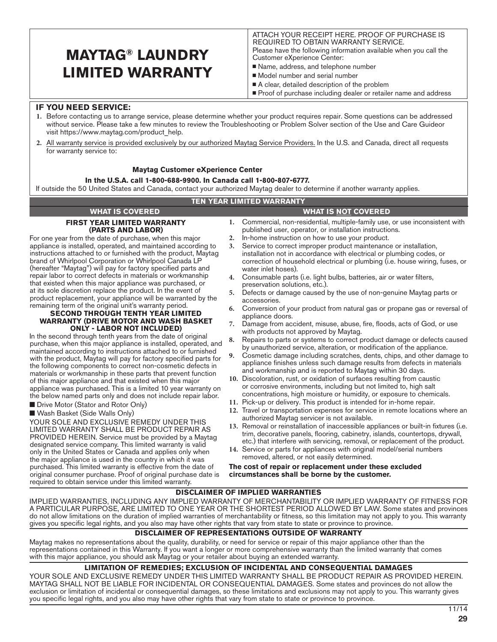# **MAYTAG® LAUNDRY LIMITED WARRANTY**

ATTACH YOUR RECEIPT HERE. PROOF OF PURCHASE IS REQUIRED TO OBTAIN WARRANTY SERVICE. Please have the following information available when you call the Customer eXperience Center:

- Name, address, and telephone number
- Model number and serial number
- A clear, detailed description of the problem
- **Proof of purchase including dealer or retailer name and address**

# **IF YOU NEED SERVICE:**

- **1.** Before contacting us to arrange service, please determine whether your product requires repair. Some questions can be addressed without service. Please take a few minutes to review the Troubleshooting or Problem Solver section of the Use and Care Guideor visit https://www.maytag.com/product\_help.
- **2.** All warranty service is provided exclusively by our authorized Maytag Service Providers. In the U.S. and Canada, direct all requests for warranty service to:

### **Maytag Customer eXperience Center**

### **In the U.S.A. call 1-800-688-9900. In Canada call 1-800-807-6777.**

If outside the 50 United States and Canada, contact your authorized Maytag dealer to determine if another warranty applies.

# **TEN YEAR LIMITED WARRANTY**

#### **1.** Commercial, non-residential, multiple-family use, or use inconsistent with published user, operator, or installation instructions. **2.** In-home instruction on how to use your product. **3.** Service to correct improper product maintenance or installation, installation not in accordance with electrical or plumbing codes, or correction of household electrical or plumbing (i.e. house wiring, fuses, or water inlet hoses). **4.** Consumable parts (i.e. light bulbs, batteries, air or water filters, preservation solutions, etc.). **5.** Defects or damage caused by the use of non-genuine Maytag parts or accessories. **6.** Conversion of your product from natural gas or propane gas or reversal of appliance doors. **7.** Damage from accident, misuse, abuse, fire, floods, acts of God, or use with products not approved by Maytag. **8.** Repairs to parts or systems to correct product damage or defects caused by unauthorized service, alteration, or modification of the appliance. **9.** Cosmetic damage including scratches, dents, chips, and other damage to appliance finishes unless such damage results from defects in materials and workmanship and is reported to Maytag within 30 days. **10.** Discoloration, rust, or oxidation of surfaces resulting from caustic or corrosive environments, including but not limited to, high salt concentrations, high moisture or humidity, or exposure to chemicals. **11.** Pick-up or delivery. This product is intended for in-home repair. **12.** Travel or transportation expenses for service in remote locations where an authorized Maytag servicer is not available. **13.** Removal or reinstallation of inaccessible appliances or built-in fixtures (i.e. trim, decorative panels, flooring, cabinetry, islands, countertops, drywall, etc.) that interfere with servicing, removal, or replacement of the product. **14.** Service or parts for appliances with original model/serial numbers removed, altered, or not easily determined. **The cost of repair or replacement under these excluded circumstances shall be borne by the customer. FIRST YEAR LIMITED WARRANTY (PARTS AND LABOR)** For one year from the date of purchase, when this major appliance is installed, operated, and maintained according to instructions attached to or furnished with the product, Maytag brand of Whirlpool Corporation or Whirlpool Canada LP (hereafter "Maytag") will pay for factory specified parts and repair labor to correct defects in materials or workmanship that existed when this major appliance was purchased, or at its sole discretion replace the product. In the event of product replacement, your appliance will be warranted by the remaining term of the original unit's warranty period. **SECOND THROUGH TENTH YEAR LIMITED WARRANTY (DRIVE MOTOR AND WASH BASKET ONLY - LABOR NOT INCLUDED)** In the second through tenth years from the date of original purchase, when this major appliance is installed, operated, and maintained according to instructions attached to or furnished with the product, Maytag will pay for factory specified parts for the following components to correct non-cosmetic defects in materials or workmanship in these parts that prevent function of this major appliance and that existed when this major appliance was purchased. This is a limited 10 year warranty on the below named parts only and does not include repair labor. **n** Drive Motor (Stator and Rotor Only) ■ Wash Basket (Side Walls Only) YOUR SOLE AND EXCLUSIVE REMEDY UNDER THIS LIMITED WARRANTY SHALL BE PRODUCT REPAIR AS PROVIDED HEREIN. Service must be provided by a Maytag designated service company. This limited warranty is valid only in the United States or Canada and applies only when the major appliance is used in the country in which it was purchased. This limited warranty is effective from the date of original consumer purchase. Proof of original purchase date is required to obtain service under this limited warranty. **DISCLAIMER OF IMPLIED WARRANTIES WHAT IS COVERED WHAT IS NOT COVERED**

IMPLIED WARRANTIES, INCLUDING ANY IMPLIED WARRANTY OF MERCHANTABILITY OR IMPLIED WARRANTY OF FITNESS FOR A PARTICULAR PURPOSE, ARE LIMITED TO ONE YEAR OR THE SHORTEST PERIOD ALLOWED BY LAW. Some states and provinces do not allow limitations on the duration of implied warranties of merchantability or fitness, so this limitation may not apply to you. This warranty gives you specific legal rights, and you also may have other rights that vary from state to state or province to province.

# **DISCLAIMER OF REPRESENTATIONS OUTSIDE OF WARRANTY**

Maytag makes no representations about the quality, durability, or need for service or repair of this major appliance other than the representations contained in this Warranty. If you want a longer or more comprehensive warranty than the limited warranty that comes with this major appliance, you should ask Maytag or your retailer about buying an extended warranty.

### **LIMITATION OF REMEDIES; EXCLUSION OF INCIDENTAL AND CONSEQUENTIAL DAMAGES**

YOUR SOLE AND EXCLUSIVE REMEDY UNDER THIS LIMITED WARRANTY SHALL BE PRODUCT REPAIR AS PROVIDED HEREIN. MAYTAG SHALL NOT BE LIABLE FOR INCIDENTAL OR CONSEQUENTIAL DAMAGES. Some states and provinces do not allow the exclusion or limitation of incidental or consequential damages, so these limitations and exclusions may not apply to you. This warranty gives you specific legal rights, and you also may have other rights that vary from state to state or province to province.